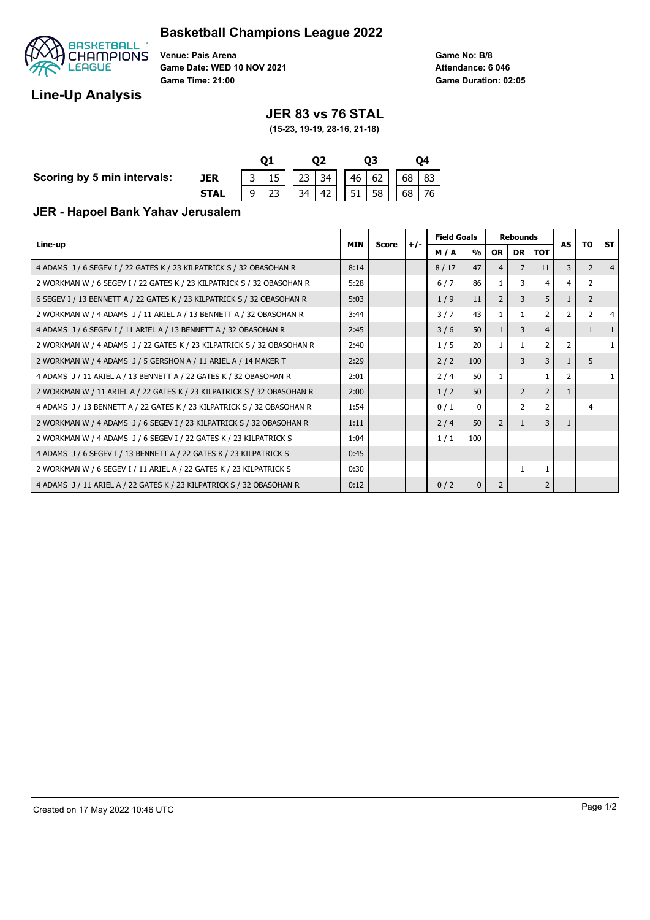# **Basketball Champions League 2022**



**Venue: Pais Arena Game Date: WED 10 NOV 2021 Game Time: 21:00**

**Line-Up Analysis**

**Game No: B/8 Game Duration: 02:05 Attendance: 6 046**

### **JER 83 vs 76 STAL**

**(15-23, 19-19, 28-16, 21-18)**

**Scoring by 5 min intervals:** 

| JER  |   | 3   15   23   34   46   62   68   83 |  |  |                                 |  |  |  |  |  |  |
|------|---|--------------------------------------|--|--|---------------------------------|--|--|--|--|--|--|
| STAL | 9 | $-23$                                |  |  | 34   42     51   58     68   76 |  |  |  |  |  |  |

#### **JER - Hapoel Bank Yahav Jerusalem**

|                                                                         |            |              |       | <b>Field Goals</b> |                | <b>Rebounds</b> |                |                | AS |    |                |
|-------------------------------------------------------------------------|------------|--------------|-------|--------------------|----------------|-----------------|----------------|----------------|----|----|----------------|
| Line-up                                                                 | <b>MIN</b> | <b>Score</b> | $+/-$ | <b>M/A</b>         | $\frac{0}{0}$  | <b>OR</b>       | DR I           | <b>TOT</b>     |    | ΤO | <b>ST</b>      |
| 4 ADAMS J / 6 SEGEV I / 22 GATES K / 23 KILPATRICK S / 32 OBASOHAN R    | 8:14       |              |       | 8/17               | 47             | $\overline{4}$  | $\overline{7}$ | 11             | 3  | 2  | $\overline{4}$ |
| 2 WORKMAN W / 6 SEGEV I / 22 GATES K / 23 KILPATRICK S / 32 OBASOHAN R  | 5:28       |              |       | $6/7$              | 86             |                 | 3              | 4              | 4  |    |                |
| 6 SEGEV I / 13 BENNETT A / 22 GATES K / 23 KILPATRICK S / 32 OBASOHAN R | 5:03       |              |       | 1/9                | 11             | $\overline{2}$  | 3              |                |    |    |                |
| 2 WORKMAN W / 4 ADAMS J / 11 ARIEL A / 13 BENNETT A / 32 OBASOHAN R     | 3:44       |              |       | 3/7                | 43             | 1               | $\mathbf{1}$   |                | 2  |    | 4              |
| 4 ADAMS J / 6 SEGEV I / 11 ARIEL A / 13 BENNETT A / 32 OBASOHAN R       | 2:45       |              |       | 3/6                | 50             | 1               | 3              | $\overline{4}$ |    |    | $\mathbf{1}$   |
| 2 WORKMAN W / 4 ADAMS J / 22 GATES K / 23 KILPATRICK S / 32 OBASOHAN R  | 2:40       |              |       | 1/5                | 20             | 1.              | 1              |                | 2  |    |                |
| 2 WORKMAN W / 4 ADAMS J / 5 GERSHON A / 11 ARIEL A / 14 MAKER T         | 2:29       |              |       | 2/2                | 100            |                 | 3              |                |    |    |                |
| 4 ADAMS J / 11 ARIEL A / 13 BENNETT A / 22 GATES K / 32 OBASOHAN R      | 2:01       |              |       | 2/4                | 50             | 1               |                |                | 2  |    |                |
| 2 WORKMAN W / 11 ARIEL A / 22 GATES K / 23 KILPATRICK S / 32 OBASOHAN R |            |              |       | 1/2                | 50             |                 | $\overline{2}$ | $\overline{2}$ |    |    |                |
| 4 ADAMS J / 13 BENNETT A / 22 GATES K / 23 KILPATRICK S / 32 OBASOHAN R | 1:54       |              |       | 0/1                | 0              |                 | 2              |                |    |    |                |
| 2 WORKMAN W / 4 ADAMS J / 6 SEGEV I / 23 KILPATRICK S / 32 OBASOHAN R   | 1:11       |              |       | 2/4                | 50             | $\overline{2}$  | $\mathbf{1}$   | 3              |    |    |                |
| 2 WORKMAN W / 4 ADAMS J / 6 SEGEV I / 22 GATES K / 23 KILPATRICK S      | 1:04       |              |       | 1/1                | 100            |                 |                |                |    |    |                |
| 4 ADAMS J / 6 SEGEV I / 13 BENNETT A / 22 GATES K / 23 KILPATRICK S     |            |              |       |                    |                |                 |                |                |    |    |                |
| 2 WORKMAN W / 6 SEGEV I / 11 ARIEL A / 22 GATES K / 23 KILPATRICK S     |            |              |       |                    |                |                 | $\mathbf{1}$   |                |    |    |                |
| 4 ADAMS J / 11 ARIEL A / 22 GATES K / 23 KILPATRICK S / 32 OBASOHAN R   | 0:12       |              |       | 0/2                | $\overline{0}$ | 2               |                | 2              |    |    |                |